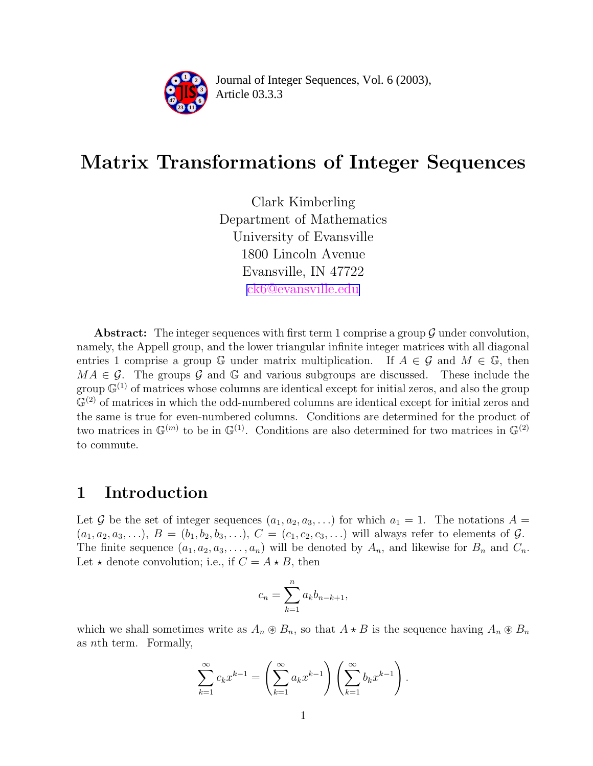

Article 03.3.3 **<sup>2</sup>** Journal of Integer Sequences, Vol. 6 (2003),

## Matrix Transformations of Integer Sequences

Clark Kimberling Department of Mathematics University of Evansville 1800 Lincoln Avenue Evansville, IN 47722 [ck6@evansville.edu](mailto:ck6@evansville.edu)

**Abstract:** The integer sequences with first term 1 comprise a group  $\mathcal G$  under convolution, namely, the Appell group, and the lower triangular infinite integer matrices with all diagonal entries 1 comprise a group G under matrix multiplication. If  $A \in \mathcal{G}$  and  $M \in \mathbb{G}$ , then  $MA \in \mathcal{G}$ . The groups  $\mathcal{G}$  and  $\mathbb{G}$  and various subgroups are discussed. These include the group  $\mathbb{G}^{(1)}$  of matrices whose columns are identical except for initial zeros, and also the group  $\mathbb{G}^{(2)}$  of matrices in which the odd-numbered columns are identical except for initial zeros and the same is true for even-numbered columns. Conditions are determined for the product of two matrices in  $\mathbb{G}^{(m)}$  to be in  $\mathbb{G}^{(1)}$ . Conditions are also determined for two matrices in  $\mathbb{G}^{(2)}$ to commute.

### 1 Introduction

Let G be the set of integer sequences  $(a_1, a_2, a_3, \ldots)$  for which  $a_1 = 1$ . The notations  $A =$  $(a_1, a_2, a_3, \ldots), B = (b_1, b_2, b_3, \ldots), C = (c_1, c_2, c_3, \ldots)$  will always refer to elements of  $G$ . The finite sequence  $(a_1, a_2, a_3, \ldots, a_n)$  will be denoted by  $A_n$ , and likewise for  $B_n$  and  $C_n$ . Let  $\star$  denote convolution; i.e., if  $C = A \star B$ , then

$$
c_n = \sum_{k=1}^n a_k b_{n-k+1},
$$

which we shall sometimes write as  $A_n \otimes B_n$ , so that  $A \star B$  is the sequence having  $A_n \otimes B_n$ as nth term. Formally,

$$
\sum_{k=1}^{\infty} c_k x^{k-1} = \left(\sum_{k=1}^{\infty} a_k x^{k-1}\right) \left(\sum_{k=1}^{\infty} b_k x^{k-1}\right).
$$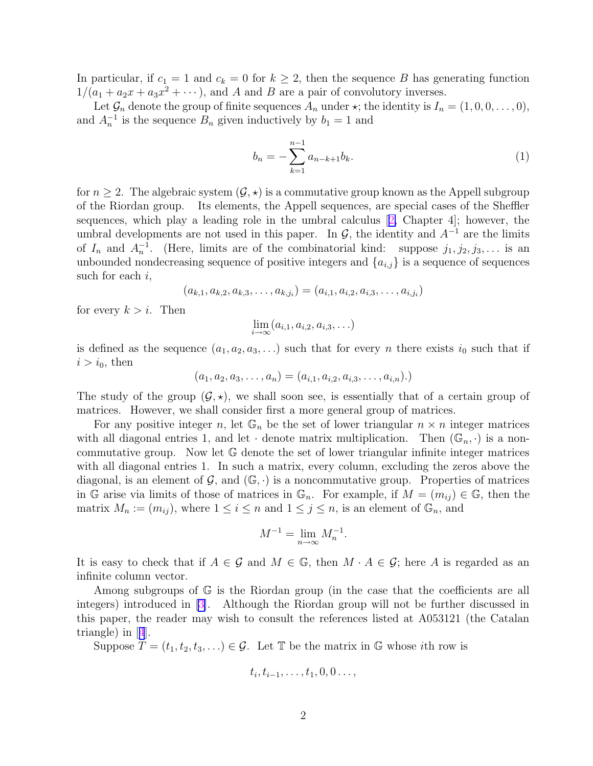In particular, if  $c_1 = 1$  and  $c_k = 0$  for  $k \geq 2$ , then the sequence B has generating function  $1/(a_1 + a_2x + a_3x^2 + \cdots)$ , and A and B are a pair of convolutory inverses.

Let  $\mathcal{G}_n$  denote the group of finite sequences  $A_n$  under  $\star$ ; the identity is  $I_n = (1, 0, 0, \ldots, 0)$ , and  $A_n^{-1}$  is the sequence  $B_n$  given inductively by  $b_1 = 1$  and

$$
b_n = -\sum_{k=1}^{n-1} a_{n-k+1} b_k.
$$
 (1)

for  $n \geq 2$ . The algebraic system  $(\mathcal{G}, \star)$  is a commutative group known as the Appell subgroup of the Riordan group. Its elements, the Appell sequences, are special cases of the Sheffler sequences, which play a leading role in the umbral calculus  $[2,$  $[2,$  Chapter 4; however, the umbral developments are not used in this paper. In  $\mathcal{G}$ , the identity and  $A^{-1}$  are the limits of  $I_n$  and  $A_n^{-1}$ . (Here, limits are of the combinatorial kind: suppose  $j_1, j_2, j_3, \ldots$  is an unbounded nondecreasing sequence of positive integers and  $\{a_{i,j}\}\$ is a sequence of sequences such for each  $i$ ,

$$
(a_{k,1}, a_{k,2}, a_{k,3}, \ldots, a_{k,j_i}) = (a_{i,1}, a_{i,2}, a_{i,3}, \ldots, a_{i,j_i})
$$

for every  $k > i$ . Then

$$
\lim_{i\to\infty}(a_{i,1},a_{i,2},a_{i,3},\ldots)
$$

is defined as the sequence  $(a_1, a_2, a_3, \ldots)$  such that for every *n* there exists  $i_0$  such that if  $i > i_0$ , then

 $(a_1, a_2, a_3, \ldots, a_n) = (a_{i,1}, a_{i,2}, a_{i,3}, \ldots, a_{i,n}).$ 

The study of the group  $(\mathcal{G}, \star)$ , we shall soon see, is essentially that of a certain group of matrices. However, we shall consider first a more general group of matrices.

For any positive integer n, let  $\mathbb{G}_n$  be the set of lower triangular  $n \times n$  integer matrices with all diagonal entries 1, and let  $\cdot$  denote matrix multiplication. Then  $(\mathbb{G}_n, \cdot)$  is a noncommutative group. Now let G denote the set of lower triangular infinite integer matrices with all diagonal entries 1. In such a matrix, every column, excluding the zeros above the diagonal, is an element of  $\mathcal{G}$ , and  $(\mathbb{G}, \cdot)$  is a noncommutative group. Properties of matrices in G arise via limits of those of matrices in  $\mathbb{G}_n$ . For example, if  $M = (m_{ij}) \in \mathbb{G}$ , then the matrix  $M_n := (m_{ij})$ , where  $1 \le i \le n$  and  $1 \le j \le n$ , is an element of  $\mathbb{G}_n$ , and

$$
M^{-1} = \lim_{n \to \infty} M_n^{-1}.
$$

It is easy to check that if  $A \in \mathcal{G}$  and  $M \in \mathbb{G}$ , then  $M \cdot A \in \mathcal{G}$ ; here A is regarded as an infinite column vector.

Among subgroups of G is the Riordan group (in the case that the coefficients are all integers) introduced in [\[3\]](#page-10-0). Although the Riordan group will not be further discussed in this paper, the reader may wish to consult the references listed at A053121 (the Catalan triangle) in [[4](#page-10-0)].

Suppose  $T = (t_1, t_2, t_3, ...) \in \mathcal{G}$ . Let  $\mathbb{T}$  be the matrix in  $\mathbb{G}$  whose *i*th row is

$$
t_i,t_{i-1},\ldots,t_1,0,0\ldots,
$$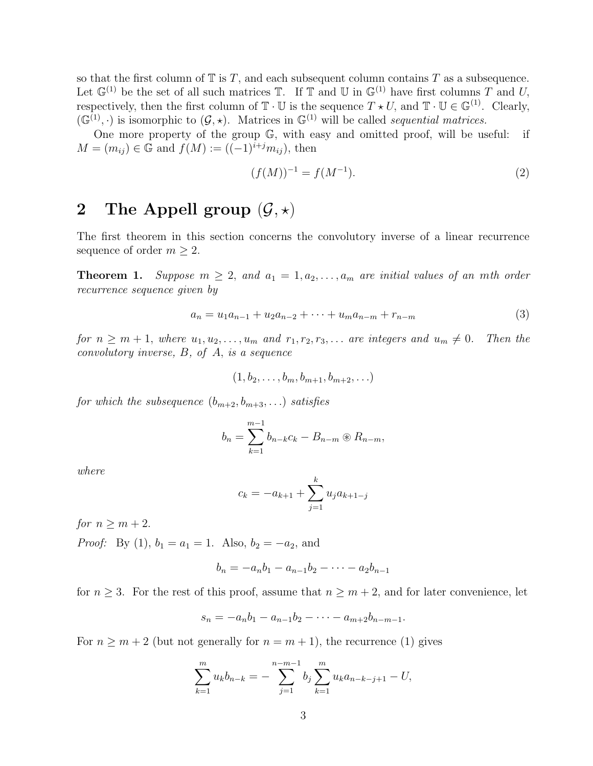so that the first column of  $\mathbb T$  is T, and each subsequent column contains T as a subsequence. Let  $\mathbb{G}^{(1)}$  be the set of all such matrices  $\mathbb{T}$ . If  $\mathbb{T}$  and  $\mathbb{U}$  in  $\mathbb{G}^{(1)}$  have first columns T and U, respectively, then the first column of  $\mathbb{T} \cdot \mathbb{U}$  is the sequence  $T \star U$ , and  $\mathbb{T} \cdot \mathbb{U} \in \mathbb{G}^{(1)}$ . Clearly,  $(\mathbb{G}^{(1)}, \cdot)$  is isomorphic to  $(\mathcal{G}, \star)$ . Matrices in  $\mathbb{G}^{(1)}$  will be called *sequential matrices*.

One more property of the group G, with easy and omitted proof, will be useful: if  $M = (m_{ij}) \in \mathbb{G}$  and  $f(M) := ((-1)^{i+j}m_{ij})$ , then

$$
(f(M))^{-1} = f(M^{-1}).
$$
\n(2)

## 2 The Appell group  $(\mathcal{G}, \star)$

The first theorem in this section concerns the convolutory inverse of a linear recurrence sequence of order  $m \geq 2$ .

**Theorem 1.** Suppose  $m \geq 2$ , and  $a_1 = 1, a_2, \ldots, a_m$  are initial values of an mth order recurrence sequence given by

$$
a_n = u_1 a_{n-1} + u_2 a_{n-2} + \dots + u_m a_{n-m} + r_{n-m}
$$
\n(3)

for  $n \geq m+1$ , where  $u_1, u_2, \ldots, u_m$  and  $r_1, r_2, r_3, \ldots$  are integers and  $u_m \neq 0$ . Then the convolutory inverse, B, of A, is a sequence

$$
(1, b_2, \ldots, b_m, b_{m+1}, b_{m+2}, \ldots)
$$

for which the subsequence  $(b_{m+2}, b_{m+3}, \ldots)$  satisfies

$$
b_n = \sum_{k=1}^{m-1} b_{n-k} c_k - B_{n-m} \circledast R_{n-m},
$$

where

$$
c_k = -a_{k+1} + \sum_{j=1}^{k} u_j a_{k+1-j}
$$

for  $n \geq m+2$ .

*Proof:* By (1),  $b_1 = a_1 = 1$ . Also,  $b_2 = -a_2$ , and

$$
b_n = -a_n b_1 - a_{n-1} b_2 - \dots - a_2 b_{n-1}
$$

for  $n \geq 3$ . For the rest of this proof, assume that  $n \geq m+2$ , and for later convenience, let

$$
s_n = -a_n b_1 - a_{n-1} b_2 - \cdots - a_{m+2} b_{n-m-1}.
$$

For  $n \geq m + 2$  (but not generally for  $n = m + 1$ ), the recurrence (1) gives

$$
\sum_{k=1}^{m} u_k b_{n-k} = -\sum_{j=1}^{n-m-1} b_j \sum_{k=1}^{m} u_k a_{n-k-j+1} - U,
$$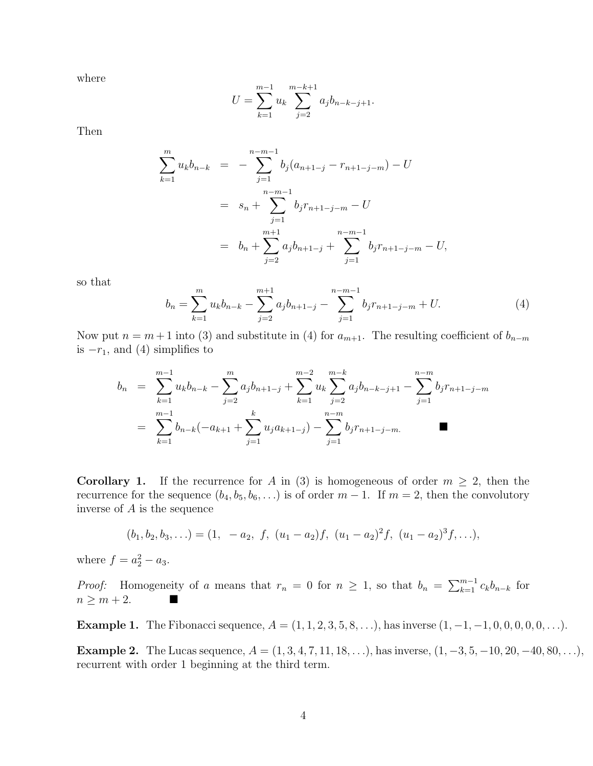where

$$
U = \sum_{k=1}^{m-1} u_k \sum_{j=2}^{m-k+1} a_j b_{n-k-j+1}.
$$

Then

$$
\sum_{k=1}^{m} u_k b_{n-k} = -\sum_{j=1}^{n-m-1} b_j (a_{n+1-j} - r_{n+1-j-m}) - U
$$
  
=  $s_n + \sum_{j=1}^{n-m-1} b_j r_{n+1-j-m} - U$   
=  $b_n + \sum_{j=2}^{m+1} a_j b_{n+1-j} + \sum_{j=1}^{n-m-1} b_j r_{n+1-j-m} - U,$ 

so that

$$
b_n = \sum_{k=1}^{m} u_k b_{n-k} - \sum_{j=2}^{m+1} a_j b_{n+1-j} - \sum_{j=1}^{n-m-1} b_j r_{n+1-j-m} + U.
$$
 (4)

Now put  $n = m + 1$  into (3) and substitute in (4) for  $a_{m+1}$ . The resulting coefficient of  $b_{n-m}$ is  $-r_1$ , and (4) simplifies to

$$
b_n = \sum_{k=1}^{m-1} u_k b_{n-k} - \sum_{j=2}^m a_j b_{n+1-j} + \sum_{k=1}^{m-2} u_k \sum_{j=2}^{m-k} a_j b_{n-k-j+1} - \sum_{j=1}^{n-m} b_j r_{n+1-j-m}
$$
  
= 
$$
\sum_{k=1}^{m-1} b_{n-k} (-a_{k+1} + \sum_{j=1}^k u_j a_{k+1-j}) - \sum_{j=1}^{n-m} b_j r_{n+1-j-m}.
$$

**Corollary 1.** If the recurrence for A in (3) is homogeneous of order  $m \geq 2$ , then the recurrence for the sequence  $(b_4, b_5, b_6, \ldots)$  is of order  $m-1$ . If  $m=2$ , then the convolutory inverse of A is the sequence

$$
(b_1, b_2, b_3, \ldots) = (1, -a_2, f, (u_1 - a_2)f, (u_1 - a_2)^2 f, (u_1 - a_2)^3 f, \ldots),
$$

where  $f = a_2^2 - a_3$ .

*Proof:* Homogeneity of a means that  $r_n = 0$  for  $n \geq 1$ , so that  $b_n = \sum_{k=1}^{m-1} c_k b_{n-k}$  for  $n \geq m+2$ .

**Example 1.** The Fibonacci sequence,  $A = (1, 1, 2, 3, 5, 8, ...)$ , has inverse  $(1, -1, -1, 0, 0, 0, 0, 0, ...)$ .

**Example 2.** The Lucas sequence,  $A = (1, 3, 4, 7, 11, 18, ...)$ , has inverse,  $(1, -3, 5, -10, 20, -40, 80, ...)$ , recurrent with order 1 beginning at the third term.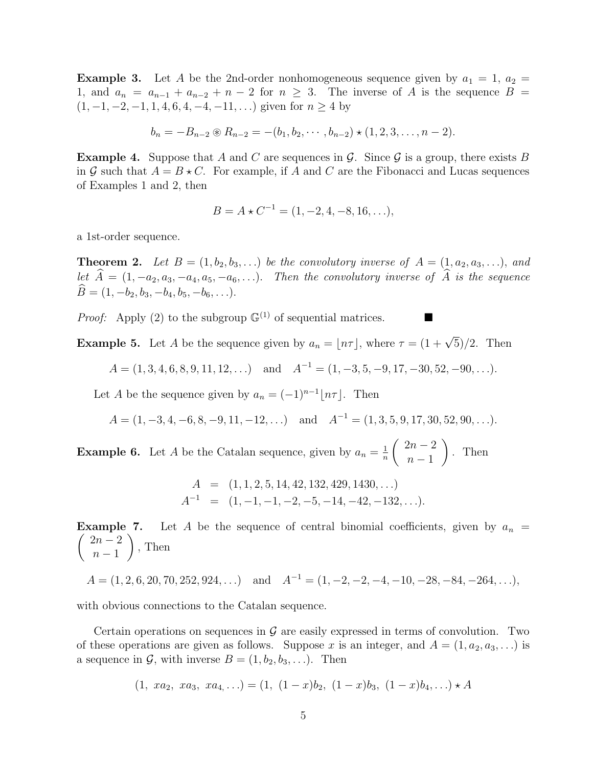**Example 3.** Let A be the 2nd-order nonhomogeneous sequence given by  $a_1 = 1$ ,  $a_2 =$ 1, and  $a_n = a_{n-1} + a_{n-2} + n - 2$  for  $n \geq 3$ . The inverse of A is the sequence  $B =$  $(1, -1, -2, -1, 1, 4, 6, 4, -4, -11, ...)$  given for  $n \geq 4$  by

$$
b_n = -B_{n-2} \circledast R_{n-2} = -(b_1, b_2, \cdots, b_{n-2}) \star (1, 2, 3, \ldots, n-2).
$$

**Example 4.** Suppose that A and C are sequences in  $\mathcal{G}$ . Since  $\mathcal{G}$  is a group, there exists B in G such that  $A = B \star C$ . For example, if A and C are the Fibonacci and Lucas sequences of Examples 1 and 2, then

$$
B = A \star C^{-1} = (1, -2, 4, -8, 16, \ldots),
$$

a 1st-order sequence.

**Theorem 2.** Let  $B = (1, b_2, b_3, \ldots)$  be the convolutory inverse of  $A = (1, a_2, a_3, \ldots)$ , and let  $\hat{A} = (1, -a_2, a_3, -a_4, a_5, -a_6, \ldots)$ . Then the convolutory inverse of  $\hat{A}$  is the sequence  $\widehat{B} = (1, -b_2, b_3, -b_4, b_5, -b_6, \ldots).$ 

*Proof:* Apply (2) to the subgroup  $\mathbb{G}^{(1)}$  of sequential matrices.

**Example 5.** Let A be the sequence given by  $a_n = \lfloor n\tau \rfloor$ , where  $\tau = (1 + \sqrt{5})/2$ . Then

 $A = (1, 3, 4, 6, 8, 9, 11, 12, \ldots)$  and  $A^{-1} = (1, -3, 5, -9, 17, -30, 52, -90, \ldots)$ .

Let A be the sequence given by  $a_n = (-1)^{n-1} \lfloor n\tau \rfloor$ . Then

$$
A = (1, -3, 4, -6, 8, -9, 11, -12, ...)
$$
 and  $A^{-1} = (1, 3, 5, 9, 17, 30, 52, 90, ...).$ 

**Example 6.** Let A be the Catalan sequence, given by  $a_n = \frac{1}{n}$ n  $\int 2n-2$  $n-1$  $\setminus$ . Then

$$
A = (1, 1, 2, 5, 14, 42, 132, 429, 1430, \ldots)
$$
  

$$
A^{-1} = (1, -1, -1, -2, -5, -14, -42, -132, \ldots).
$$

**Example 7.** Let A be the sequence of central binomial coefficients, given by  $a_n =$  $\int 2n-2$  $n-1$  $\setminus$ , Then  $A = (1, 2, 6, 20, 70, 252, 924, \ldots)$  and  $A^{-1} = (1, -2, -2, -4, -10, -28, -84, -264, \ldots)$ ,

with obvious connections to the Catalan sequence.

Certain operations on sequences in  $\mathcal G$  are easily expressed in terms of convolution. Two of these operations are given as follows. Suppose x is an integer, and  $A = (1, a_2, a_3, \ldots)$  is a sequence in  $\mathcal{G}$ , with inverse  $B = (1, b_2, b_3, \ldots)$ . Then

$$
(1, xa_2, xa_3, xa_4, \ldots) = (1, (1-x)b_2, (1-x)b_3, (1-x)b_4, \ldots) \star A
$$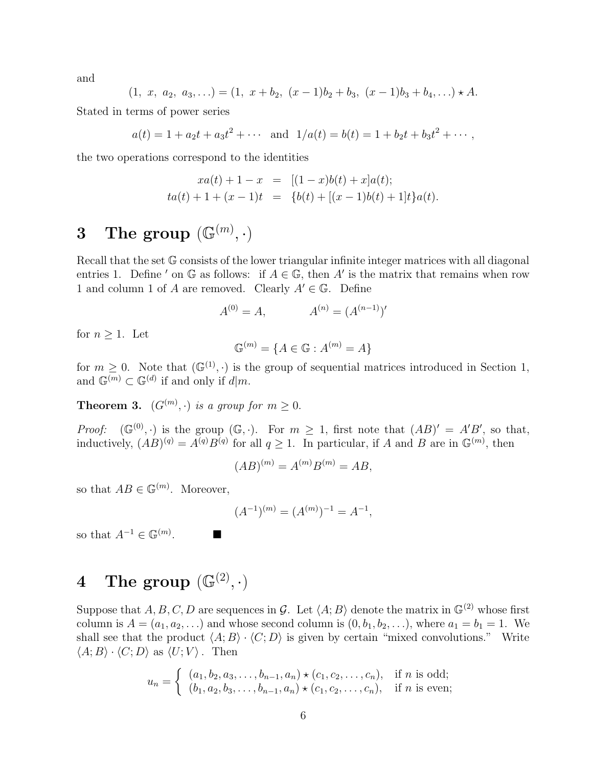and

$$
(1, x, a_2, a_3,...) = (1, x+b_2, (x-1)b_2+b_3, (x-1)b_3+b_4,...) \star A.
$$

Stated in terms of power series

$$
a(t) = 1 + a_2t + a_3t^2 + \cdots
$$
 and  $1/a(t) = b(t) = 1 + b_2t + b_3t^2 + \cdots$ ,

the two operations correspond to the identities

$$
xa(t) + 1 - x = [(1 - x)b(t) + x]a(t);
$$
  
\n
$$
ta(t) + 1 + (x - 1)t = \{b(t) + [(x - 1)b(t) + 1]t\}a(t).
$$

# $\, {\bf 3} \quad {\bf The \ group \ } ({\mathbb G}^{(m)}, \cdot) \,$

Recall that the set G consists of the lower triangular infinite integer matrices with all diagonal entries 1. Define ' on G as follows: if  $A \in \mathbb{G}$ , then A' is the matrix that remains when row 1 and column 1 of A are removed. Clearly  $A' \in \mathbb{G}$ . Define

$$
A^{(0)} = A, \qquad \qquad A^{(n)} = (A^{(n-1)})'
$$

for  $n \geq 1$ . Let

$$
\mathbb{G}^{(m)} = \{ A \in \mathbb{G} : A^{(m)} = A \}
$$

for  $m \geq 0$ . Note that  $(\mathbb{G}^{(1)}, \cdot)$  is the group of sequential matrices introduced in Section 1, and  $\mathbb{G}^{(m)} \subset \mathbb{G}^{(d)}$  if and only if  $d|m$ .

**Theorem 3.**  $(G^{(m)},\cdot)$  is a group for  $m \geq 0$ .

*Proof:*  $(\mathbb{G}^{(0)}, \cdot)$  is the group  $(\mathbb{G}, \cdot)$ . For  $m \geq 1$ , first note that  $(AB)' = A'B'$ , so that, inductively,  $(AB)^{(q)} = A^{(q)}B^{(q)}$  for all  $q \ge 1$ . In particular, if A and B are in  $\mathbb{G}^{(m)}$ , then

$$
(AB)^{(m)} = A^{(m)}B^{(m)} = AB,
$$

so that  $AB \in \mathbb{G}^{(m)}$ . Moreover,

$$
(A^{-1})^{(m)} = (A^{(m)})^{-1} = A^{-1},
$$

so that  $A^{-1} \in \mathbb{G}^{(m)}$ . .  $\bullet$   $\bullet$   $\bullet$ 

# $4 \quad \textbf{The group } (\mathbb{G}^{(2)}, \cdot)$

Suppose that A, B, C, D are sequences in G. Let  $\langle A; B \rangle$  denote the matrix in  $\mathbb{G}^{(2)}$  whose first column is  $A = (a_1, a_2, \ldots)$  and whose second column is  $(0, b_1, b_2, \ldots)$ , where  $a_1 = b_1 = 1$ . We shall see that the product  $\langle A; B \rangle \cdot \langle C; D \rangle$  is given by certain "mixed convolutions." Write  $\langle A; B \rangle \cdot \langle C; D \rangle$  as  $\langle U; V \rangle$ . Then

$$
u_n = \begin{cases} (a_1, b_2, a_3, \dots, b_{n-1}, a_n) \star (c_1, c_2, \dots, c_n), & \text{if } n \text{ is odd;} \\ (b_1, a_2, b_3, \dots, b_{n-1}, a_n) \star (c_1, c_2, \dots, c_n), & \text{if } n \text{ is even;} \end{cases}
$$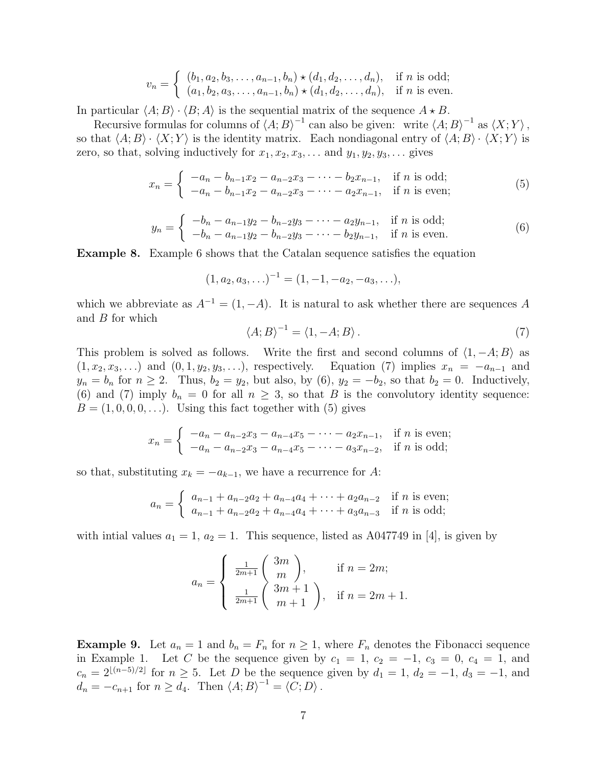$$
v_n = \begin{cases} (b_1, a_2, b_3, \dots, a_{n-1}, b_n) \star (d_1, d_2, \dots, d_n), & \text{if } n \text{ is odd;} \\ (a_1, b_2, a_3, \dots, a_{n-1}, b_n) \star (d_1, d_2, \dots, d_n), & \text{if } n \text{ is even.} \end{cases}
$$

In particular  $\langle A; B \rangle \cdot \langle B; A \rangle$  is the sequential matrix of the sequence  $A \star B$ .

Recursive formulas for columns of  $\langle A; B \rangle^{-1}$  can also be given: write  $\langle A; B \rangle^{-1}$  as  $\langle X; Y \rangle$ , so that  $\langle A; B \rangle \cdot \langle X; Y \rangle$  is the identity matrix. Each nondiagonal entry of  $\langle A; B \rangle \cdot \langle X; Y \rangle$  is zero, so that, solving inductively for  $x_1, x_2, x_3, \ldots$  and  $y_1, y_2, y_3, \ldots$  gives

$$
x_n = \begin{cases} -a_n - b_{n-1}x_2 - a_{n-2}x_3 - \dots - b_2x_{n-1}, & \text{if } n \text{ is odd;}\\ -a_n - b_{n-1}x_2 - a_{n-2}x_3 - \dots - a_2x_{n-1}, & \text{if } n \text{ is even;} \end{cases}
$$
(5)

$$
y_n = \begin{cases} -b_n - a_{n-1}y_2 - b_{n-2}y_3 - \dots - a_2y_{n-1}, & \text{if } n \text{ is odd;}\\ -b_n - a_{n-1}y_2 - b_{n-2}y_3 - \dots - b_2y_{n-1}, & \text{if } n \text{ is even.} \end{cases}
$$
(6)

Example 8. Example 6 shows that the Catalan sequence satisfies the equation

$$
(1, a_2, a_3, \ldots)^{-1} = (1, -1, -a_2, -a_3, \ldots),
$$

which we abbreviate as  $A^{-1} = (1, -A)$ . It is natural to ask whether there are sequences A and B for which

$$
\langle A; B \rangle^{-1} = \langle 1, -A; B \rangle. \tag{7}
$$

This problem is solved as follows. Write the first and second columns of  $\langle 1, -A; B \rangle$  as  $(1, x_2, x_3, ...)$  and  $(0, 1, y_2, y_3, ...)$ , respectively. Equation (7) implies  $x_n = -a_{n-1}$  and  $y_n = b_n$  for  $n \ge 2$ . Thus,  $b_2 = y_2$ , but also, by (6),  $y_2 = -b_2$ , so that  $b_2 = 0$ . Inductively, (6) and (7) imply  $b_n = 0$  for all  $n \geq 3$ , so that B is the convolutory identity sequence:  $B = (1, 0, 0, 0, ...)$ . Using this fact together with  $(5)$  gives

$$
x_n = \begin{cases} -a_n - a_{n-2}x_3 - a_{n-4}x_5 - \cdots - a_2x_{n-1}, & \text{if } n \text{ is even;}\\ -a_n - a_{n-2}x_3 - a_{n-4}x_5 - \cdots - a_3x_{n-2}, & \text{if } n \text{ is odd;} \end{cases}
$$

so that, substituting  $x_k = -a_{k-1}$ , we have a recurrence for A:

$$
a_n = \begin{cases} a_{n-1} + a_{n-2}a_2 + a_{n-4}a_4 + \dots + a_2 a_{n-2} & \text{if } n \text{ is even;}\\ a_{n-1} + a_{n-2}a_2 + a_{n-4}a_4 + \dots + a_3 a_{n-3} & \text{if } n \text{ is odd;} \end{cases}
$$

with intial values  $a_1 = 1$ ,  $a_2 = 1$ . This sequence, listed as A047749 in [4], is given by

$$
a_n = \begin{cases} \frac{1}{2m+1} {3m \choose m}, & \text{if } n = 2m; \\ \frac{1}{2m+1} {3m+1 \choose m+1}, & \text{if } n = 2m+1. \end{cases}
$$

**Example 9.** Let  $a_n = 1$  and  $b_n = F_n$  for  $n \geq 1$ , where  $F_n$  denotes the Fibonacci sequence in Example 1. Let C be the sequence given by  $c_1 = 1$ ,  $c_2 = -1$ ,  $c_3 = 0$ ,  $c_4 = 1$ , and  $c_n = 2^{\lfloor (n-5)/2 \rfloor}$  for  $n \geq 5$ . Let D be the sequence given by  $d_1 = 1, d_2 = -1, d_3 = -1$ , and  $d_n = -c_{n+1}$  for  $n \geq d_4$ . Then  $\langle A; B \rangle^{-1} = \langle C; D \rangle$ .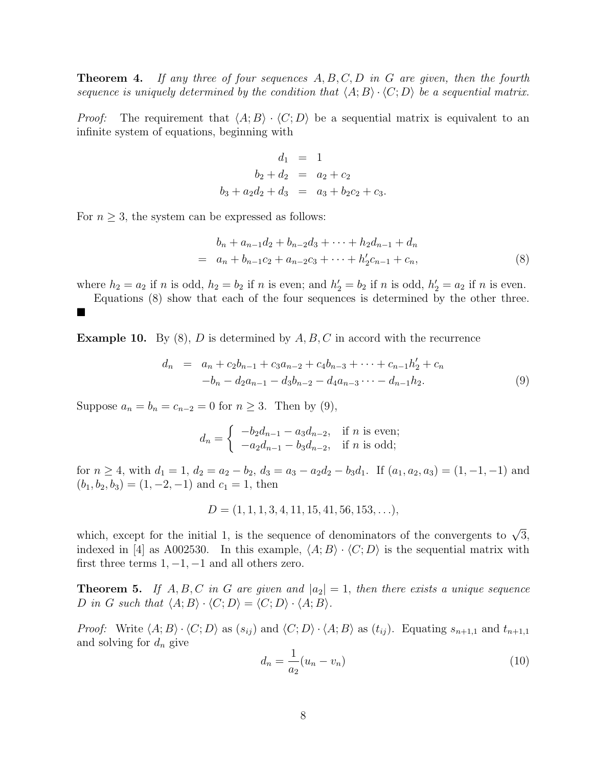**Theorem 4.** If any three of four sequences  $A, B, C, D$  in G are given, then the fourth sequence is uniquely determined by the condition that  $\langle A; B \rangle \cdot \langle C; D \rangle$  be a sequential matrix.

*Proof:* The requirement that  $\langle A; B \rangle \cdot \langle C; D \rangle$  be a sequential matrix is equivalent to an infinite system of equations, beginning with

$$
d_1 = 1
$$
  
\n
$$
b_2 + d_2 = a_2 + c_2
$$
  
\n
$$
b_3 + a_2d_2 + d_3 = a_3 + b_2c_2 + c_3.
$$

For  $n \geq 3$ , the system can be expressed as follows:

$$
b_n + a_{n-1}d_2 + b_{n-2}d_3 + \dots + h_2d_{n-1} + d_n
$$
  
=  $a_n + b_{n-1}c_2 + a_{n-2}c_3 + \dots + h'_2c_{n-1} + c_n,$  (8)

where  $h_2 = a_2$  if n is odd,  $h_2 = b_2$  if n is even; and  $h'_2 = b_2$  if n is odd,  $h'_2 = a_2$  if n is even.

Equations (8) show that each of the four sequences is determined by the other three. ¥

**Example 10.** By  $(8)$ , D is determined by  $A, B, C$  in accord with the recurrence

$$
d_n = a_n + c_2b_{n-1} + c_3a_{n-2} + c_4b_{n-3} + \dots + c_{n-1}b'_2 + c_n
$$
  

$$
-b_n - d_2a_{n-1} - d_3b_{n-2} - d_4a_{n-3} + \dots - d_{n-1}b_2.
$$
 (9)

Suppose  $a_n = b_n = c_{n-2} = 0$  for  $n \geq 3$ . Then by (9),

$$
d_n = \begin{cases} -b_2 d_{n-1} - a_3 d_{n-2}, & \text{if } n \text{ is even;}\\ -a_2 d_{n-1} - b_3 d_{n-2}, & \text{if } n \text{ is odd;} \end{cases}
$$

for  $n \ge 4$ , with  $d_1 = 1$ ,  $d_2 = a_2 - b_2$ ,  $d_3 = a_3 - a_2d_2 - b_3d_1$ . If  $(a_1, a_2, a_3) = (1, -1, -1)$  and  $(b_1, b_2, b_3) = (1, -2, -1)$  and  $c_1 = 1$ , then

$$
D = (1, 1, 1, 3, 4, 11, 15, 41, 56, 153, \ldots),
$$

which, except for the initial 1, is the sequence of denominators of the convergents to  $\sqrt{3}$ , indexed in [4] as A002530. In this example,  $\langle A; B \rangle \cdot \langle C; D \rangle$  is the sequential matrix with first three terms  $1, -1, -1$  and all others zero.

**Theorem 5.** If A, B, C in G are given and  $|a_2|=1$ , then there exists a unique sequence D in G such that  $\langle A; B \rangle \cdot \langle C; D \rangle = \langle C; D \rangle \cdot \langle A; B \rangle$ .

*Proof:* Write  $\langle A; B \rangle \cdot \langle C; D \rangle$  as  $(s_{ij})$  and  $\langle C; D \rangle \cdot \langle A; B \rangle$  as  $(t_{ij})$ . Equating  $s_{n+1,1}$  and  $t_{n+1,1}$ and solving for  $d_n$  give

$$
d_n = \frac{1}{a_2}(u_n - v_n)
$$
 (10)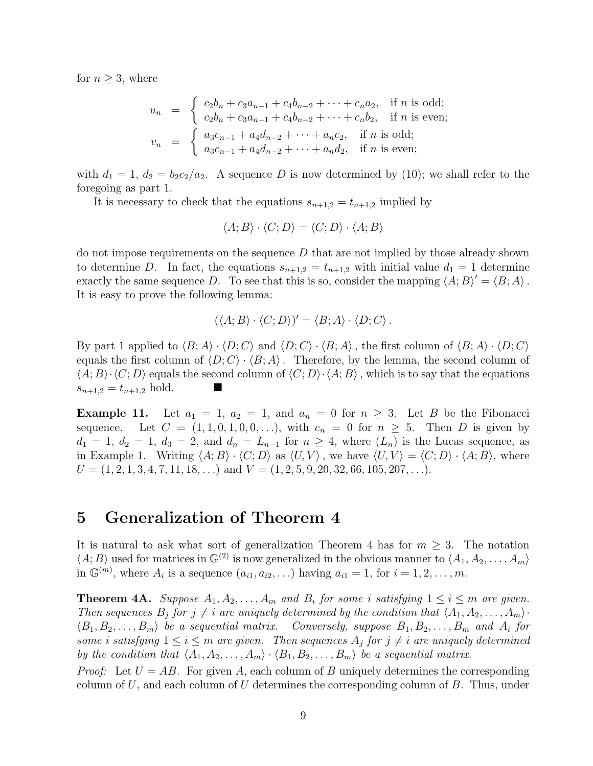for  $n \geq 3$ , where

$$
u_n = \begin{cases} c_2b_n + c_3a_{n-1} + c_4b_{n-2} + \dots + c_na_2, & \text{if } n \text{ is odd;}\\ c_2b_n + c_3a_{n-1} + c_4b_{n-2} + \dots + c_nb_2, & \text{if } n \text{ is even;}\\ a_3c_{n-1} + a_4d_{n-2} + \dots + a_nc_2, & \text{if } n \text{ is odd;}\\ a_3c_{n-1} + a_4d_{n-2} + \dots + a_nd_2, & \text{if } n \text{ is even;} \end{cases}
$$

with  $d_1 = 1, d_2 = b_2 c_2/a_2$ . A sequence D is now determined by (10); we shall refer to the foregoing as part 1.

It is necessary to check that the equations  $s_{n+1,2} = t_{n+1,2}$  implied by

$$
\langle A; B \rangle \cdot \langle C; D \rangle = \langle C; D \rangle \cdot \langle A; B \rangle
$$

do not impose requirements on the sequence  $D$  that are not implied by those already shown to determine D. In fact, the equations  $s_{n+1,2} = t_{n+1,2}$  with initial value  $d_1 = 1$  determine exactly the same sequence D. To see that this is so, consider the mapping  $\langle A; B \rangle' = \langle B; A \rangle$ . It is easy to prove the following lemma:

$$
(\langle A; B \rangle \cdot \langle C; D \rangle)' = \langle B; A \rangle \cdot \langle D; C \rangle.
$$

By part 1 applied to  $\langle B; A\rangle \cdot \langle D; C\rangle$  and  $\langle D; C\rangle \cdot \langle B; A\rangle$ , the first column of  $\langle B; A\rangle \cdot \langle D; C\rangle$ equals the first column of  $\langle D; C \rangle \cdot \langle B; A \rangle$ . Therefore, by the lemma, the second column of  $\langle A; B \rangle \cdot \langle C; D \rangle$  equals the second column of  $\langle C; D \rangle \cdot \langle A; B \rangle$ , which is to say that the equations  $s_{n+1,2} = t_{n+1,2}$  hold.

**Example 11.** Let  $a_1 = 1$ ,  $a_2 = 1$ , and  $a_n = 0$  for  $n \geq 3$ . Let B be the Fibonacci sequence. Let  $C = (1, 1, 0, 1, 0, 0, \ldots)$ , with  $c_n = 0$  for  $n \geq 5$ . Then D is given by  $d_1 = 1, d_2 = 1, d_3 = 2,$  and  $d_n = L_{n-1}$  for  $n \geq 4$ , where  $(L_n)$  is the Lucas sequence, as in Example 1. Writing  $\langle A; B\rangle \cdot \langle C; D\rangle$  as  $\langle U, V\rangle$ , we have  $\langle U, V\rangle = \langle C; D\rangle \cdot \langle A; B\rangle$ , where  $U = (1, 2, 1, 3, 4, 7, 11, 18, ...)$  and  $V = (1, 2, 5, 9, 20, 32, 66, 105, 207, ...)$ .

#### 5 Generalization of Theorem 4

It is natural to ask what sort of generalization Theorem 4 has for  $m \geq 3$ . The notation  $\langle A; B \rangle$  used for matrices in  $\mathbb{G}^{(2)}$  is now generalized in the obvious manner to  $\langle A_1, A_2, \ldots, A_m \rangle$ in  $\mathbb{G}^{(m)}$ , where  $A_i$  is a sequence  $(a_{i1}, a_{i2}, \ldots)$  having  $a_{i1} = 1$ , for  $i = 1, 2, \ldots, m$ .

**Theorem 4A.** Suppose  $A_1, A_2, \ldots, A_m$  and  $B_i$  for some i satisfying  $1 \leq i \leq m$  are given. Then sequences  $B_j$  for  $j \neq i$  are uniquely determined by the condition that  $\langle A_1, A_2, \ldots, A_m \rangle$ .  $\langle B_1, B_2, \ldots, B_m \rangle$  be a sequential matrix. Conversely, suppose  $B_1, B_2, \ldots, B_m$  and  $A_i$  for some i satisfying  $1 \leq i \leq m$  are given. Then sequences  $A_j$  for  $j \neq i$  are uniquely determined by the condition that  $\langle A_1, A_2, \ldots, A_m \rangle \cdot \langle B_1, B_2, \ldots, B_m \rangle$  be a sequential matrix.

*Proof:* Let  $U = AB$ . For given A, each column of B uniquely determines the corresponding column of U, and each column of U determines the corresponding column of  $B$ . Thus, under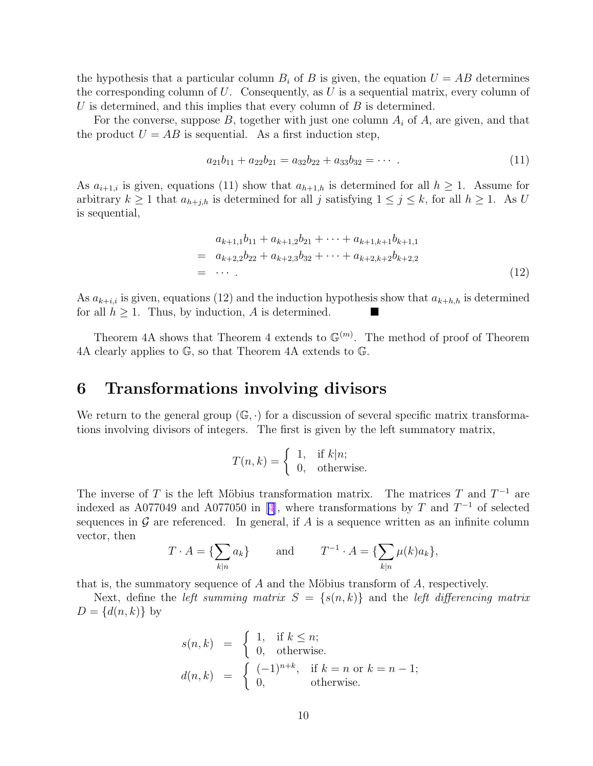the hypothesis that a particular column  $B_i$  of B is given, the equation  $U = AB$  determines the corresponding column of  $U$ . Consequently, as  $U$  is a sequential matrix, every column of U is determined, and this implies that every column of  $B$  is determined.

For the converse, suppose B, together with just one column  $A_i$  of A, are given, and that the product  $U = AB$  is sequential. As a first induction step,

$$
a_{21}b_{11} + a_{22}b_{21} = a_{32}b_{22} + a_{33}b_{32} = \cdots
$$
 (11)

As  $a_{i+1,i}$  is given, equations (11) show that  $a_{h+1,h}$  is determined for all  $h \geq 1$ . Assume for arbitrary  $k \ge 1$  that  $a_{h+j,h}$  is determined for all j satisfying  $1 \le j \le k$ , for all  $h \ge 1$ . As U is sequential,

$$
a_{k+1,1}b_{11} + a_{k+1,2}b_{21} + \cdots + a_{k+1,k+1}b_{k+1,1}
$$
  
=  $a_{k+2,2}b_{22} + a_{k+2,3}b_{32} + \cdots + a_{k+2,k+2}b_{k+2,2}$   
=  $\cdots$  (12)

As  $a_{k+i,i}$  is given, equations (12) and the induction hypothesis show that  $a_{k+h,h}$  is determined for all  $h \geq 1$ . Thus, by induction, A is determined.

Theorem 4A shows that Theorem 4 extends to  $\mathbb{G}^{(m)}$ . The method of proof of Theorem 4A clearly applies to G, so that Theorem 4A extends to G.

#### 6 Transformations involving divisors

We return to the general group  $(\mathbb{G}, \cdot)$  for a discussion of several specific matrix transformations involving divisors of integers. The first is given by the left summatory matrix,

$$
T(n,k) = \begin{cases} 1, & \text{if } k|n; \\ 0, & \text{otherwise.} \end{cases}
$$

The inverse of T is the left Möbius transformation matrix. The matrices T and  $T^{-1}$  are indexed as A077049 and A077050 in [\[4](#page-10-0)], where transformations by T and  $T^{-1}$  of selected sequences in  $\mathcal G$  are referenced. In general, if A is a sequence written as an infinite column vector, then

$$
T \cdot A = \{ \sum_{k|n} a_k \} \quad \text{and} \quad T^{-1} \cdot A = \{ \sum_{k|n} \mu(k) a_k \},
$$

that is, the summatory sequence of  $A$  and the Möbius transform of  $A$ , respectively.

Next, define the *left summing matrix*  $S = \{s(n, k)\}\$ and the *left differencing matrix*  $D = \{d(n,k)\}\$ by

$$
s(n,k) = \begin{cases} 1, & \text{if } k \leq n; \\ 0, & \text{otherwise.} \end{cases}
$$
  

$$
d(n,k) = \begin{cases} (-1)^{n+k}, & \text{if } k = n \text{ or } k = n-1; \\ 0, & \text{otherwise.} \end{cases}
$$